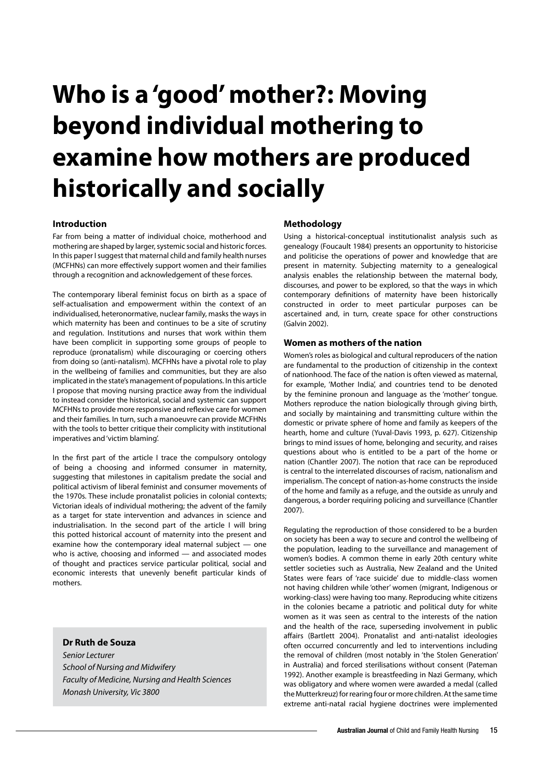# **Who is a 'good' mother?: Moving beyond individual mothering to examine how mothers are produced historically and socially**

# **Introduction**

Far from being a matter of individual choice, motherhood and mothering are shaped by larger, systemic social and historic forces. In this paper I suggest that maternal child and family health nurses (MCFHNs) can more effectively support women and their families through a recognition and acknowledgement of these forces.

The contemporary liberal feminist focus on birth as a space of self-actualisation and empowerment within the context of an individualised, heteronormative, nuclear family, masks the ways in which maternity has been and continues to be a site of scrutiny and regulation. Institutions and nurses that work within them have been complicit in supporting some groups of people to reproduce (pronatalism) while discouraging or coercing others from doing so (anti-natalism). MCFHNs have a pivotal role to play in the wellbeing of families and communities, but they are also implicated in the state's management of populations. In this article I propose that moving nursing practice away from the individual to instead consider the historical, social and systemic can support MCFHNs to provide more responsive and reflexive care for women and their families. In turn, such a manoeuvre can provide MCFHNs with the tools to better critique their complicity with institutional imperatives and 'victim blaming'.

In the first part of the article I trace the compulsory ontology of being a choosing and informed consumer in maternity, suggesting that milestones in capitalism predate the social and political activism of liberal feminist and consumer movements of the 1970s. These include pronatalist policies in colonial contexts; Victorian ideals of individual mothering; the advent of the family as a target for state intervention and advances in science and industrialisation. In the second part of the article I will bring this potted historical account of maternity into the present and examine how the contemporary ideal maternal subject — one who is active, choosing and informed — and associated modes of thought and practices service particular political, social and economic interests that unevenly benefit particular kinds of mothers.

# **Dr Ruth de Souza**

Senior Lecturer School of Nursing and Midwifery Faculty of Medicine, Nursing and Health Sciences Monash University, Vic 3800

#### **Methodology**

Using a historical-conceptual institutionalist analysis such as genealogy (Foucault 1984) presents an opportunity to historicise and politicise the operations of power and knowledge that are present in maternity. Subjecting maternity to a genealogical analysis enables the relationship between the maternal body, discourses, and power to be explored, so that the ways in which contemporary definitions of maternity have been historically constructed in order to meet particular purposes can be ascertained and, in turn, create space for other constructions (Galvin 2002).

### **Women as mothers of the nation**

Women's roles as biological and cultural reproducers of the nation are fundamental to the production of citizenship in the context of nationhood. The face of the nation is often viewed as maternal, for example, 'Mother India', and countries tend to be denoted by the feminine pronoun and language as the 'mother' tongue. Mothers reproduce the nation biologically through giving birth, and socially by maintaining and transmitting culture within the domestic or private sphere of home and family as keepers of the hearth, home and culture (Yuval-Davis 1993, p. 627). Citizenship brings to mind issues of home, belonging and security, and raises questions about who is entitled to be a part of the home or nation (Chantler 2007). The notion that race can be reproduced is central to the interrelated discourses of racism, nationalism and imperialism. The concept of nation-as-home constructs the inside of the home and family as a refuge, and the outside as unruly and dangerous, a border requiring policing and surveillance (Chantler 2007).

Regulating the reproduction of those considered to be a burden on society has been a way to secure and control the wellbeing of the population, leading to the surveillance and management of women's bodies. A common theme in early 20th century white settler societies such as Australia, New Zealand and the United States were fears of 'race suicide' due to middle-class women not having children while 'other' women (migrant, Indigenous or working-class) were having too many. Reproducing white citizens in the colonies became a patriotic and political duty for white women as it was seen as central to the interests of the nation and the health of the race, superseding involvement in public affairs (Bartlett 2004). Pronatalist and anti-natalist ideologies often occurred concurrently and led to interventions including the removal of children (most notably in 'the Stolen Generation' in Australia) and forced sterilisations without consent (Pateman 1992). Another example is breastfeeding in Nazi Germany, which was obligatory and where women were awarded a medal (called the Mutterkreuz) for rearing four or more children. At the same time extreme anti-natal racial hygiene doctrines were implemented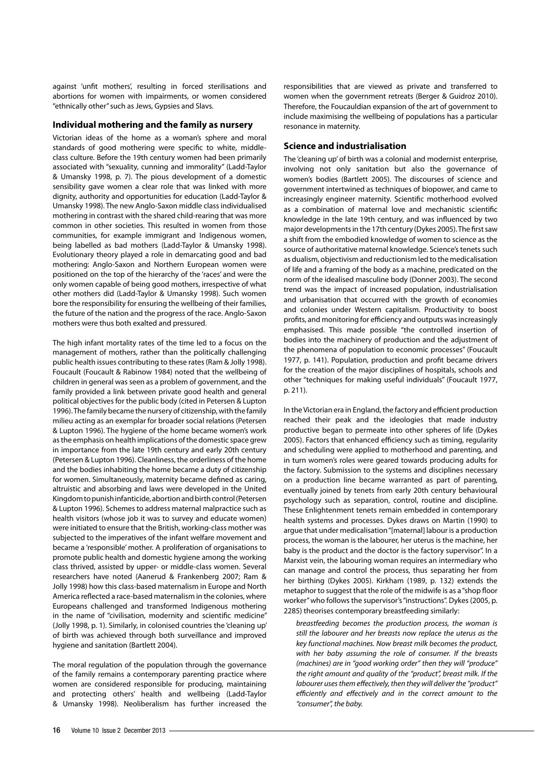against 'unfit mothers', resulting in forced sterilisations and abortions for women with impairments, or women considered "ethnically other" such as Jews, Gypsies and Slavs.

#### **Individual mothering and the family as nursery**

Victorian ideas of the home as a woman's sphere and moral standards of good mothering were specific to white, middleclass culture. Before the 19th century women had been primarily associated with "sexuality, cunning and immorality" (Ladd-Taylor & Umansky 1998, p. 7). The pious development of a domestic sensibility gave women a clear role that was linked with more dignity, authority and opportunities for education (Ladd-Taylor & Umansky 1998). The new Anglo-Saxon middle class individualised mothering in contrast with the shared child-rearing that was more common in other societies. This resulted in women from those communities, for example immigrant and Indigenous women, being labelled as bad mothers (Ladd-Taylor & Umansky 1998). Evolutionary theory played a role in demarcating good and bad mothering: Anglo-Saxon and Northern European women were positioned on the top of the hierarchy of the 'races' and were the only women capable of being good mothers, irrespective of what other mothers did (Ladd-Taylor & Umansky 1998). Such women bore the responsibility for ensuring the wellbeing of their families, the future of the nation and the progress of the race. Anglo-Saxon mothers were thus both exalted and pressured.

The high infant mortality rates of the time led to a focus on the management of mothers, rather than the politically challenging public health issues contributing to these rates (Ram & Jolly 1998). Foucault (Foucault & Rabinow 1984) noted that the wellbeing of children in general was seen as a problem of government, and the family provided a link between private good health and general political objectives for the public body (cited in Petersen & Lupton 1996). The family became the nursery of citizenship, with the family milieu acting as an exemplar for broader social relations (Petersen & Lupton 1996). The hygiene of the home became women's work as the emphasis on health implications of the domestic space grew in importance from the late 19th century and early 20th century (Petersen & Lupton 1996). Cleanliness, the orderliness of the home and the bodies inhabiting the home became a duty of citizenship for women. Simultaneously, maternity became defined as caring, altruistic and absorbing and laws were developed in the United Kingdom to punish infanticide, abortion and birth control (Petersen & Lupton 1996). Schemes to address maternal malpractice such as health visitors (whose job it was to survey and educate women) were initiated to ensure that the British, working-class mother was subjected to the imperatives of the infant welfare movement and became a 'responsible' mother. A proliferation of organisations to promote public health and domestic hygiene among the working class thrived, assisted by upper- or middle-class women. Several researchers have noted (Aanerud & Frankenberg 2007; Ram & Jolly 1998) how this class-based maternalism in Europe and North America reflected a race-based maternalism in the colonies, where Europeans challenged and transformed Indigenous mothering in the name of "civilisation, modernity and scientific medicine" (Jolly 1998, p. 1). Similarly, in colonised countries the 'cleaning up' of birth was achieved through both surveillance and improved hygiene and sanitation (Bartlett 2004).

The moral regulation of the population through the governance of the family remains a contemporary parenting practice where women are considered responsible for producing, maintaining and protecting others' health and wellbeing (Ladd-Taylor & Umansky 1998). Neoliberalism has further increased the responsibilities that are viewed as private and transferred to women when the government retreats (Berger & Guidroz 2010). Therefore, the Foucauldian expansion of the art of government to include maximising the wellbeing of populations has a particular resonance in maternity.

## **Science and industrialisation**

The 'cleaning up' of birth was a colonial and modernist enterprise, involving not only sanitation but also the governance of women's bodies (Bartlett 2005). The discourses of science and government intertwined as techniques of biopower, and came to increasingly engineer maternity. Scientific motherhood evolved as a combination of maternal love and mechanistic scientific knowledge in the late 19th century, and was influenced by two major developments in the 17th century (Dykes 2005). The first saw a shift from the embodied knowledge of women to science as the source of authoritative maternal knowledge. Science's tenets such as dualism, objectivism and reductionism led to the medicalisation of life and a framing of the body as a machine, predicated on the norm of the idealised masculine body (Donner 2003). The second trend was the impact of increased population, industrialisation and urbanisation that occurred with the growth of economies and colonies under Western capitalism. Productivity to boost profits, and monitoring for efficiency and outputs was increasingly emphasised. This made possible "the controlled insertion of bodies into the machinery of production and the adjustment of the phenomena of population to economic processes" (Foucault 1977, p. 141). Population, production and profit became drivers for the creation of the major disciplines of hospitals, schools and other "techniques for making useful individuals" (Foucault 1977, p. 211).

In the Victorian era in England, the factory and efficient production reached their peak and the ideologies that made industry productive began to permeate into other spheres of life (Dykes 2005). Factors that enhanced efficiency such as timing, regularity and scheduling were applied to motherhood and parenting, and in turn women's roles were geared towards producing adults for the factory. Submission to the systems and disciplines necessary on a production line became warranted as part of parenting, eventually joined by tenets from early 20th century behavioural psychology such as separation, control, routine and discipline. These Enlightenment tenets remain embedded in contemporary health systems and processes. Dykes draws on Martin (1990) to argue that under medicalisation "[maternal] labour is a production process, the woman is the labourer, her uterus is the machine, her baby is the product and the doctor is the factory supervisor". In a Marxist vein, the labouring woman requires an intermediary who can manage and control the process, thus separating her from her birthing (Dykes 2005). Kirkham (1989, p. 132) extends the metaphor to suggest that the role of the midwife is as a "shop floor worker" who follows the supervisor's "instructions". Dykes (2005, p. 2285) theorises contemporary breastfeeding similarly:

breastfeeding becomes the production process, the woman is still the labourer and her breasts now replace the uterus as the key functional machines. Now breast milk becomes the product, with her baby assuming the role of consumer. If the breasts (machines) are in "good working order" then they will "produce" the right amount and quality of the "product", breast milk. If the labourer uses them effectively, then they will deliver the "product" efficiently and effectively and in the correct amount to the "consumer", the baby.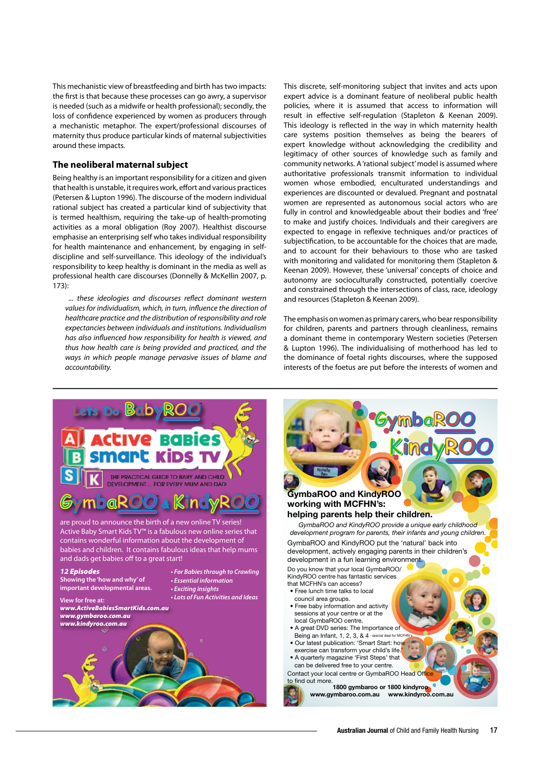This mechanistic view of breastfeeding and birth has two impacts: the first is that because these processes can go awry, a supervisor is needed (such as a midwife or health professional); secondly, the loss of confidence experienced by women as producers through a mechanistic metaphor. The expert/professional discourses of maternity thus produce particular kinds of maternal subjectivities around these impacts.

#### **The neoliberal maternal subject**

Being healthy is an important responsibility for a citizen and given that health is unstable, it requires work, effort and various practices (Petersen & Lupton 1996). The discourse of the modern individual rational subject has created a particular kind of subjectivity that is termed healthism, requiring the take-up of health-promoting activities as a moral obligation (Roy 2007). Healthist discourse emphasise an enterprising self who takes individual responsibility for health maintenance and enhancement, by engaging in selfdiscipline and self-surveillance. This ideology of the individual's responsibility to keep healthy is dominant in the media as well as professional health care discourses (Donnelly & McKellin 2007, p. 173):

... these ideologies and discourses reflect dominant western values for individualism, which, in turn, influence the direction of healthcare practice and the distribution of responsibility and role expectancies between individuals and institutions. Individualism has also influenced how responsibility for health is viewed, and thus how health care is being provided and practiced, and the ways in which people manage pervasive issues of blame and accountability.

This discrete, self-monitoring subject that invites and acts upon expert advice is a dominant feature of neoliberal public health policies, where it is assumed that access to information will result in effective self-regulation (Stapleton & Keenan 2009). This ideology is reflected in the way in which maternity health care systems position themselves as being the bearers of expert knowledge without acknowledging the credibility and legitimacy of other sources of knowledge such as family and community networks. A 'rational subject' model is assumed where authoritative professionals transmit information to individual women whose embodied, enculturated understandings and experiences are discounted or devalued. Pregnant and postnatal women are represented as autonomous social actors who are fully in control and knowledgeable about their bodies and 'free' to make and justify choices. Individuals and their caregivers are expected to engage in reflexive techniques and/or practices of subjectification, to be accountable for the choices that are made, and to account for their behaviours to those who are tasked with monitoring and validated for monitoring them (Stapleton & Keenan 2009). However, these 'universal' concepts of choice and autonomy are socioculturally constructed, potentially coercive and constrained through the intersections of class, race, ideology and resources (Stapleton & Keenan 2009).

The emphasis on women as primary carers, who bear responsibility for children, parents and partners through cleanliness, remains a dominant theme in contemporary Western societies (Petersen & Lupton 1996). The individualising of motherhood has led to the dominance of foetal rights discourses, where the supposed interests of the foetus are put before the interests of women and



# **GymbaROO ymbaROO KindyROO indyROO** GymbaROO and KindyROO working with MCFHN's: helping parents help their children. GymbaROO and KindyROO provide a unique early childhood development program for parents, their infants and young children. GymbaROO and KindyROO put the 'natural' back into development, actively engaging parents in their children's development in a fun learning environment. Do you know that your local GymbaROO/ KindyROO centre has fantastic services that MCFHN's can access? • Free lunch time talks to local council area groups. • Free baby information and activity sessions at your centre or at the local GymbaROO centre. • A great DVD series: The Importance of Being an Infant, 1, 2, 3, & 4 - special deal for MCFH . Our latest publication: 'Smart Start: how exercise can transform your child's life. • A quarterly magazine 'First Steps' that can be delivered free to your centre. Contact your local centre or GymbaROO Head Off to find out more. 1800 gymbaroo or 1800 kindyroo